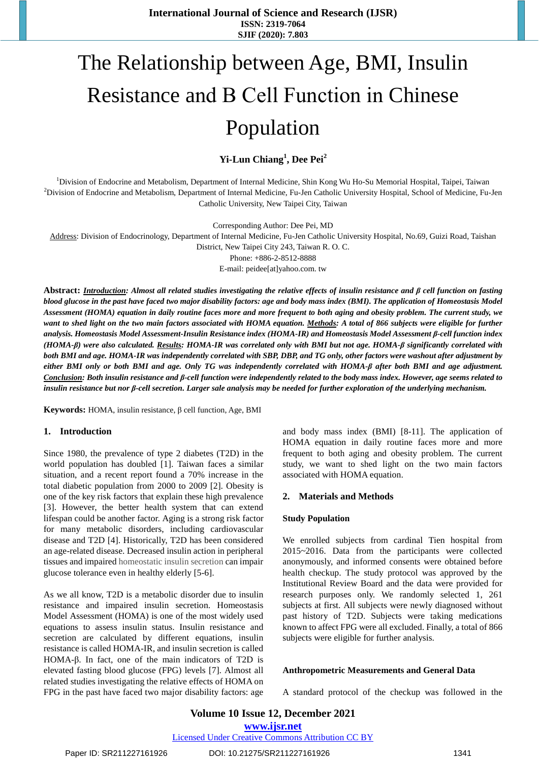# The Relationship between Age, BMI, Insulin Resistance and Β Cell Function in Chinese Population

**Yi-Lun Chiang<sup>1</sup> , Dee Pei<sup>2</sup>**

<sup>1</sup>Division of Endocrine and Metabolism, Department of Internal Medicine, Shin Kong Wu Ho-Su Memorial Hospital, Taipei, Taiwan <sup>2</sup>Division of Endocrine and Metabolism, Department of Internal Medicine, Fu-Jen Catholic University Hospital, School of Medicine, Fu-Jen Catholic University, New Taipei City, Taiwan

Corresponding Author: Dee Pei, MD

Address: Division of Endocrinology, Department of Internal Medicine, Fu-Jen Catholic University Hospital, No.69, Guizi Road, Taishan

District, New Taipei City 243, Taiwan R. O. C.

Phone: +886-2-8512-8888

E-mail: peidee[at]yahoo.com. tw

Abstract: **Introduction**: Almost all related studies investigating the relative effects of insulin resistance and  $\beta$  cell function on fasting blood glucose in the past have faced two major disability factors: age and body mass index (BMI). The application of Homeostasis Model Assessment (HOMA) equation in daily routine faces more and more frequent to both aging and obesity problem. The current study, we want to shed light on the two main factors associated with HOMA equation. Methods: A total of 866 subjects were eligible for further *analysis. Homeostasis Model Assessment-Insulin Resistance index (HOMA-IR) and Homeostasis Model Assessment β-cell function index (HOMA-β) were also calculated. Results: HOMA-IR was correlated only with BMI but not age. HOMA-β significantly correlated with* both BMI and age. HOMA-IR was independently correlated with SBP. DBP. and TG only, other factors were washout after adjustment by either BMI only or both BMI and age. Only TG was independently correlated with HOMA-ß after both BMI and age adjustment. Conclusion: Both insulin resistance and *f*-cell function were independently related to the body mass index. However, age seems related to insulin resistance but nor *f-cell secretion. Larger sale analysis may be needed for further exploration of the underlying mechanism.* 

**Keywords:** HOMA, insulin resistance, β cell function, Age, BMI

### **1. Introduction**

Since 1980, the prevalence of type 2 diabetes (T2D) in the world population has doubled [1]. Taiwan faces a similar situation, and a recent report found a 70% increase in the total diabetic population from 2000 to 2009 [2]. Obesity is one of the key risk factors that explain these high prevalence [3]. However, the better health system that can extend lifespan could be another factor. Aging is a strong risk factor for many metabolic disorders, including cardiovascular disease and T2D [4]. Historically, T2D has been considered an age-related disease. Decreased insulin action in peripheral tissues and impaired homeostatic insulin secretion can impair glucose tolerance even in healthy elderly [5-6].

As we all know, T2D is a metabolic disorder due to insulin resistance and impaired insulin secretion. Homeostasis Model Assessment (HOMA) is one of the most widely used equations to assess insulin status. Insulin resistance and secretion are calculated by different equations, insulin resistance is called HOMA-IR, and insulin secretion is called HOMA-β. In fact, one of the main indicators of T2D is elevated fasting blood glucose (FPG) levels [7]. Almost all related studies investigating the relative effects of HOMA on FPG in the past have faced two major disability factors: age

and body mass index (BMI) [8-11]. The application of HOMA equation in daily routine faces more and more frequent to both aging and obesity problem. The current study, we want to shed light on the two main factors associated with HOMA equation.

### **2. Materials and Methods**

### **Study Population**

We enrolled subjects from cardinal Tien hospital from 2015~2016. Data from the participants were collected anonymously, and informed consents were obtained before health checkup. The study protocol was approved by the Institutional Review Board and the data were provided for research purposes only. We randomly selected 1, 261 subjects at first. All subjects were newly diagnosed without past history of T2D. Subjects were taking medications known to affect FPG were all excluded. Finally, a total of 866 subjects were eligible for further analysis.

### **Anthropometric Measurements and General Data**

A standard protocol of the checkup was followed in the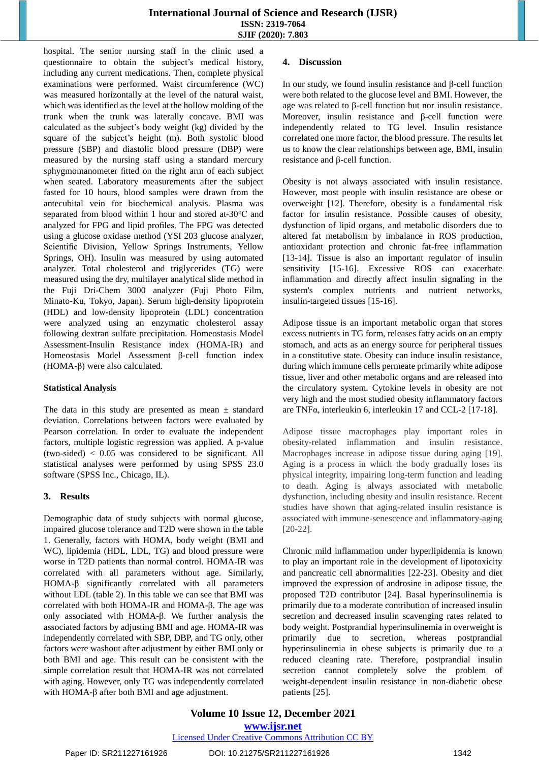hospital. The senior nursing staff in the clinic used a questionnaire to obtain the subject's medical history, including any current medications. Then, complete physical examinations were performed. Waist circumference (WC) was measured horizontally at the level of the natural waist, which was identified as the level at the hollow molding of the trunk when the trunk was laterally concave. BMI was calculated as the subject's body weight (kg) divided by the square of the subject's height (m). Both systolic blood pressure (SBP) and diastolic blood pressure (DBP) were measured by the nursing staff using a standard mercury sphygmomanometer fitted on the right arm of each subject when seated. Laboratory measurements after the subject fasted for 10 hours, blood samples were drawn from the antecubital vein for biochemical analysis. Plasma was separated from blood within 1 hour and stored at-30℃ and analyzed for FPG and lipid profiles. The FPG was detected using a glucose oxidase method (YSI 203 glucose analyzer, Scientific Division, Yellow Springs Instruments, Yellow Springs, OH). Insulin was measured by using automated analyzer. Total cholesterol and triglycerides (TG) were measured using the dry, multilayer analytical slide method in the Fuji Dri-Chem 3000 analyzer (Fuji Photo Film, Minato-Ku, Tokyo, Japan). Serum high-density lipoprotein (HDL) and low-density lipoprotein (LDL) concentration were analyzed using an enzymatic cholesterol assay following dextran sulfate precipitation. Homeostasis Model Assessment-Insulin Resistance index (HOMA-IR) and Homeostasis Model Assessment β-cell function index (HOMA-β) were also calculated.

### **Statistical Analysis**

The data in this study are presented as mean  $\pm$  standard deviation. Correlations between factors were evaluated by Pearson correlation. In order to evaluate the independent factors, multiple logistic regression was applied. A p-value (two-sided) < 0.05 was considered to be significant. All statistical analyses were performed by using SPSS 23.0 software (SPSS Inc., Chicago, IL).

# **3. Results**

Demographic data of study subjects with normal glucose, impaired glucose tolerance and T2D were shown in the table 1. Generally, factors with HOMA, body weight (BMI and WC), lipidemia (HDL, LDL, TG) and blood pressure were worse in T2D patients than normal control. HOMA-IR was correlated with all parameters without age. Similarly, HOMA-β significantly correlated with all parameters without LDL (table 2). In this table we can see that BMI was correlated with both HOMA-IR and HOMA-β. The age was only associated with HOMA-β. We further analysis the associated factors by adjusting BMI and age. HOMA-IR was independently correlated with SBP, DBP, and TG only, other factors were washout after adjustment by either BMI only or both BMI and age. This result can be consistent with the simple correlation result that HOMA-IR was not correlated with aging. However, only TG was independently correlated with HOMA-β after both BMI and age adjustment.

# **4. Discussion**

In our study, we found insulin resistance and β-cell function were both related to the glucose level and BMI. However, the age was related to β-cell function but nor insulin resistance. Moreover, insulin resistance and β-cell function were independently related to TG level. Insulin resistance correlated one more factor, the blood pressure. The results let us to know the clear relationships between age, BMI, insulin resistance and β-cell function.

Obesity is not always associated with insulin resistance. However, most people with insulin resistance are obese or overweight [12]. Therefore, obesity is a fundamental risk factor for insulin resistance. Possible causes of obesity, dysfunction of lipid organs, and metabolic disorders due to altered fat metabolism by imbalance in ROS production, antioxidant protection and chronic fat-free inflammation [13-14]. Tissue is also an important regulator of insulin sensitivity [15-16]. Excessive ROS can exacerbate inflammation and directly affect insulin signaling in the system's complex nutrients and nutrient networks, insulin-targeted tissues [15-16].

Adipose tissue is an important metabolic organ that stores excess nutrients in TG form, releases fatty acids on an empty stomach, and acts as an energy source for peripheral tissues in a constitutive state. Obesity can induce insulin resistance, during which immune cells permeate primarily white adipose tissue, liver and other metabolic organs and are released into the circulatory system. Cytokine levels in obesity are not very high and the most studied obesity inflammatory factors are TNFα, interleukin 6, interleukin 17 and CCL-2 [17-18].

Adipose tissue macrophages play important roles in obesity-related inflammation and insulin resistance. Macrophages increase in adipose tissue during aging [19]. Aging is a process in which the body gradually loses its physical integrity, impairing long-term function and leading to death. Aging is always associated with metabolic dysfunction, including obesity and insulin resistance. Recent studies have shown that aging-related insulin resistance is associated with immune-senescence and inflammatory-aging [20-22].

Chronic mild inflammation under hyperlipidemia is known to play an important role in the development of lipotoxicity and pancreatic cell abnormalities [22-23]. Obesity and diet improved the expression of androsine in adipose tissue, the proposed T2D contributor [24]. Basal hyperinsulinemia is primarily due to a moderate contribution of increased insulin secretion and decreased insulin scavenging rates related to body weight. Postprandial hyperinsulinemia in overweight is primarily due to secretion, whereas postprandial hyperinsulinemia in obese subjects is primarily due to a reduced cleaning rate. Therefore, postprandial insulin secretion cannot completely solve the problem of weight-dependent insulin resistance in non-diabetic obese patients [25].

**Volume 10 Issue 12, December 2021 www.ijsr.net**

# Licensed Under Creative Commons Attribution CC BY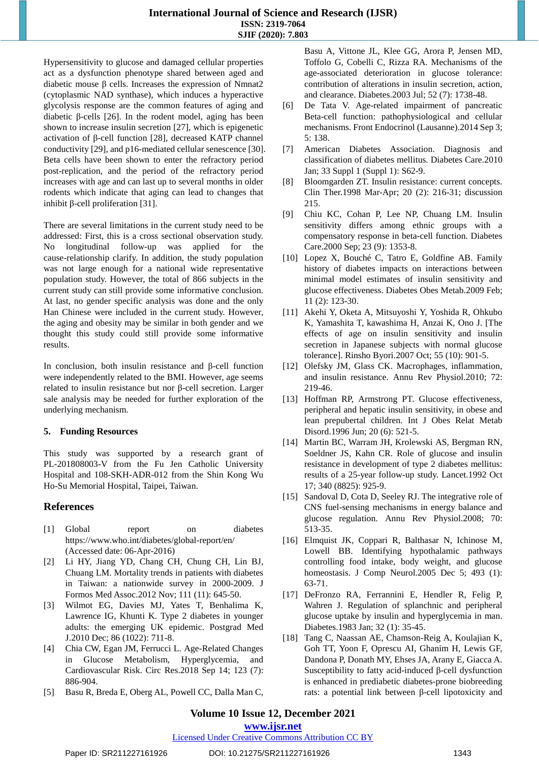Hypersensitivity to glucose and damaged cellular properties act as a dysfunction phenotype shared between aged and diabetic mouse β cells. Increases the expression of Nmnat2 (cytoplasmic NAD synthase), which induces a hyperactive glycolysis response are the common features of aging and diabetic β-cells [26]. In the rodent model, aging has been shown to increase insulin secretion [27], which is epigenetic activation of β-cell function [28], decreased KATP channel conductivity [29], and p16-mediated cellular senescence [30]. Beta cells have been shown to enter the refractory period post-replication, and the period of the refractory period increases with age and can last up to several months in older rodents which indicate that aging can lead to changes that inhibit β-cell proliferation [31].

There are several limitations in the current study need to be addressed: First, this is a cross sectional observation study. No longitudinal follow-up was applied for the cause-relationship clarify. In addition, the study population was not large enough for a national wide representative population study. However, the total of 866 subjects in the current study can still provide some informative conclusion. At last, no gender specific analysis was done and the only Han Chinese were included in the current study. However, the aging and obesity may be similar in both gender and we thought this study could still provide some informative results.

In conclusion, both insulin resistance and β-cell function were independently related to the BMI. However, age seems related to insulin resistance but nor β-cell secretion. Larger sale analysis may be needed for further exploration of the underlying mechanism.

# **5. Funding Resources**

This study was supported by a research grant of PL-201808003-V from the Fu Jen Catholic University Hospital and 108-SKH-ADR-012 from the Shin Kong Wu Ho-Su Memorial Hospital, Taipei, Taiwan.

# **References**

- [1] Global report on diabetes https://www.who.int/diabetes/global-report/en/ (Accessed date: 06-Apr-2016)
- [2] Li HY, Jiang YD, Chang CH, Chung CH, Lin BJ, Chuang LM. Mortality trends in patients with diabetes in Taiwan: a nationwide survey in 2000-2009. J Formos Med Assoc.2012 Nov; 111 (11): 645-50.
- [3] Wilmot EG, Davies MJ, Yates T, Benhalima K, Lawrence IG, Khunti K. Type 2 diabetes in younger adults: the emerging UK epidemic. Postgrad Med J.2010 Dec; 86 (1022): 711-8.
- [4] Chia CW, Egan JM, Ferrucci L. Age-Related Changes in Glucose Metabolism, Hyperglycemia, and Cardiovascular Risk. Circ Res.2018 Sep 14; 123 (7): 886-904.
- [5] Basu R, Breda E, Oberg AL, Powell CC, Dalla Man C,

Basu A, Vittone JL, Klee GG, Arora P, Jensen MD, Toffolo G, Cobelli C, Rizza RA. Mechanisms of the age-associated deterioration in glucose tolerance: contribution of alterations in insulin secretion, action, and clearance. Diabetes.2003 Jul; 52 (7): 1738-48.

- [6] De Tata V. Age-related impairment of pancreatic Beta-cell function: pathophysiological and cellular mechanisms. Front Endocrinol (Lausanne).2014 Sep 3; 5: 138.
- [7] American Diabetes Association. Diagnosis and classification of diabetes mellitus. Diabetes Care.2010 Jan; 33 Suppl 1 (Suppl 1): S62-9.
- [8] Bloomgarden ZT. Insulin resistance: current concepts. Clin Ther.1998 Mar-Apr; 20 (2): 216-31; discussion 215.
- [9] Chiu KC, Cohan P, Lee NP, Chuang LM. Insulin sensitivity differs among ethnic groups with a compensatory response in beta-cell function. Diabetes Care.2000 Sep; 23 (9): 1353-8.
- [10] Lopez X, Bouché C, Tatro E, Goldfine AB. Family history of diabetes impacts on interactions between minimal model estimates of insulin sensitivity and glucose effectiveness. Diabetes Obes Metab.2009 Feb; 11 (2): 123-30.
- [11] Akehi Y, Oketa A, Mitsuyoshi Y, Yoshida R, Ohkubo K, Yamashita T, kawashima H, Anzai K, Ono J. [The effects of age on insulin sensitivity and insulin secretion in Japanese subjects with normal glucose tolerance]. Rinsho Byori.2007 Oct; 55 (10): 901-5.
- [12] Olefsky JM, Glass CK. Macrophages, inflammation, and insulin resistance. Annu Rev Physiol.2010; 72: 219-46.
- [13] Hoffman RP, Armstrong PT. Glucose effectiveness, peripheral and hepatic insulin sensitivity, in obese and lean prepubertal children. Int J Obes Relat Metab Disord.1996 Jun; 20 (6): 521-5.
- [14] Martin BC, Warram JH, Krolewski AS, Bergman RN, Soeldner JS, Kahn CR. Role of glucose and insulin resistance in development of type 2 diabetes mellitus: results of a 25-year follow-up study. Lancet.1992 Oct 17; 340 (8825): 925-9.
- [15] Sandoval D, Cota D, Seeley RJ. The integrative role of CNS fuel-sensing mechanisms in energy balance and glucose regulation. Annu Rev Physiol.2008; 70: 513-35.
- [16] Elmquist JK, Coppari R, Balthasar N, Ichinose M, Lowell BB. Identifying hypothalamic pathways controlling food intake, body weight, and glucose homeostasis. J Comp Neurol.2005 Dec 5; 493 (1): 63-71.
- [17] DeFronzo RA, Ferrannini E, Hendler R, Felig P, Wahren J. Regulation of splanchnic and peripheral glucose uptake by insulin and hyperglycemia in man. Diabetes.1983 Jan; 32 (1): 35-45.
- [18] Tang C, Naassan AE, Chamson-Reig A, Koulajian K, Goh TT, Yoon F, Oprescu AI, Ghanim H, Lewis GF, Dandona P, Donath MY, Ehses JA, Arany E, Giacca A. Susceptibility to fatty acid-induced β-cell dysfunction is enhanced in prediabetic diabetes-prone biobreeding rats: a potential link between β-cell lipotoxicity and

# **Volume 10 Issue 12, December 2021**

**www.ijsr.net**

Licensed Under Creative Commons Attribution CC BY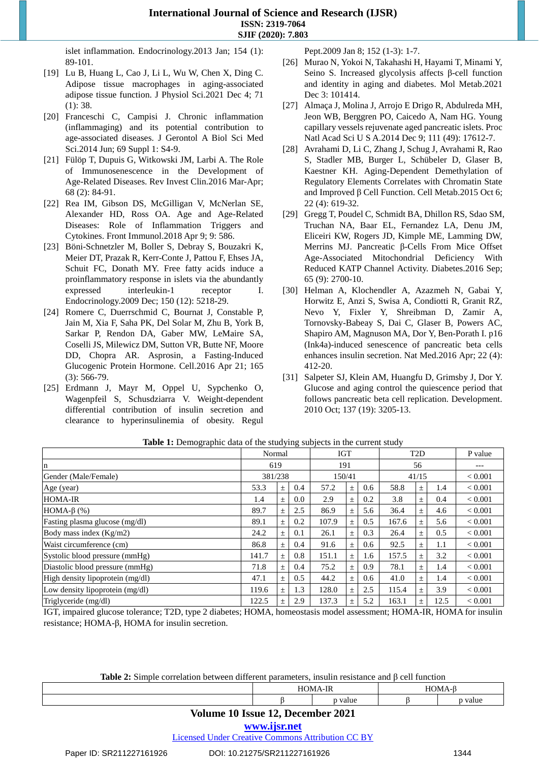islet inflammation. Endocrinology.2013 Jan; 154 (1): 89-101.

- [19] Lu B, Huang L, Cao J, Li L, Wu W, Chen X, Ding C. Adipose tissue macrophages in aging-associated adipose tissue function. J Physiol Sci.2021 Dec 4; 71 (1): 38.
- [20] Franceschi C, Campisi J. Chronic inflammation (inflammaging) and its potential contribution to age-associated diseases. J Gerontol A Biol Sci Med Sci.2014 Jun; 69 Suppl 1: S4-9.
- [21] Fülöp T, Dupuis G, Witkowski JM, Larbi A. The Role of Immunosenescence in the Development of Age-Related Diseases. Rev Invest Clin.2016 Mar-Apr; 68 (2): 84-91.
- [22] Rea IM, Gibson DS, McGilligan V, McNerlan SE, Alexander HD, Ross OA. Age and Age-Related Diseases: Role of Inflammation Triggers and Cytokines. Front Immunol.2018 Apr 9; 9: 586.
- [23] Böni-Schnetzler M, Boller S, Debray S, Bouzakri K, Meier DT, Prazak R, Kerr-Conte J, Pattou F, Ehses JA, Schuit FC, Donath MY. Free fatty acids induce a proinflammatory response in islets via the abundantly expressed interleukin-1 receptor I. Endocrinology.2009 Dec; 150 (12): 5218-29.
- [24] Romere C, Duerrschmid C, Bournat J, Constable P, Jain M, Xia F, Saha PK, Del Solar M, Zhu B, York B, Sarkar P, Rendon DA, Gaber MW, LeMaire SA, Coselli JS, Milewicz DM, Sutton VR, Butte NF, Moore DD, Chopra AR. Asprosin, a Fasting-Induced Glucogenic Protein Hormone. Cell.2016 Apr 21; 165 (3): 566-79.
- [25] Erdmann J, Mayr M, Oppel U, Sypchenko O, Wagenpfeil S, Schusdziarra V. Weight-dependent differential contribution of insulin secretion and clearance to hyperinsulinemia of obesity. Regul

Pept.2009 Jan 8; 152 (1-3): 1-7.

- [26] Murao N, Yokoi N, Takahashi H, Hayami T, Minami Y, Seino S. Increased glycolysis affects β-cell function and identity in aging and diabetes. Mol Metab.2021 Dec 3: 101414.
- [27] Almaça J, Molina J, Arrojo E Drigo R, Abdulreda MH, Jeon WB, Berggren PO, Caicedo A, Nam HG. Young capillary vessels rejuvenate aged pancreatic islets. Proc Natl Acad Sci U S A.2014 Dec 9; 111 (49): 17612-7.
- [28] Avrahami D, Li C, Zhang J, Schug J, Avrahami R, Rao S, Stadler MB, Burger L, Schübeler D, Glaser B, Kaestner KH. Aging-Dependent Demethylation of Regulatory Elements Correlates with Chromatin State and Improved β Cell Function. Cell Metab.2015 Oct 6; 22 (4): 619-32.
- [29] Gregg T, Poudel C, Schmidt BA, Dhillon RS, Sdao SM, Truchan NA, Baar EL, Fernandez LA, Denu JM, Eliceiri KW, Rogers JD, Kimple ME, Lamming DW, Merrins MJ. Pancreatic β-Cells From Mice Offset Age-Associated Mitochondrial Deficiency With Reduced KATP Channel Activity. Diabetes.2016 Sep; 65 (9): 2700-10.
- [30] Helman A, Klochendler A, Azazmeh N, Gabai Y, Horwitz E, Anzi S, Swisa A, Condiotti R, Granit RZ, Nevo Y, Fixler Y, Shreibman D, Zamir A, Tornovsky-Babeay S, Dai C, Glaser B, Powers AC, Shapiro AM, Magnuson MA, Dor Y, Ben-Porath I. p16 (Ink4a)-induced senescence of pancreatic beta cells enhances insulin secretion. Nat Med.2016 Apr; 22 (4): 412-20.
- [31] Salpeter SJ, Klein AM, Huangfu D, Grimsby J, Dor Y. Glucose and aging control the quiescence period that follows pancreatic beta cell replication. Development. 2010 Oct; 137 (19): 3205-13.

|                                  | Normal  |       |     | <b>IGT</b> |       | T <sub>2</sub> D |       | P value |                |                |
|----------------------------------|---------|-------|-----|------------|-------|------------------|-------|---------|----------------|----------------|
| n                                | 619     |       |     | 191        |       |                  | 56    |         | ---            |                |
| Gender (Male/Female)             | 381/238 |       |     | 150/41     |       |                  | 41/15 |         | ${}_{< 0.001}$ |                |
| Age (year)                       | 53.3    | $\pm$ | 0.4 | 57.2       | $\pm$ | 0.6              | 58.8  | $\pm$   | 1.4            | ${}_{< 0.001}$ |
| <b>HOMA-IR</b>                   | 1.4     | 士     | 0.0 | 2.9        | $\pm$ | 0.2              | 3.8   | $\pm$   | 0.4            | ${}_{< 0.001}$ |
| HOMA- $\beta$ (%)                | 89.7    | $\pm$ | 2.5 | 86.9       | 士     | 5.6              | 36.4  | $\pm$   | 4.6            | ${}_{< 0.001}$ |
| Fasting plasma glucose (mg/dl)   | 89.1    | $\pm$ | 0.2 | 107.9      | 士     | 0.5              | 167.6 | $\pm$   | 5.6            | ${}_{< 0.001}$ |
| Body mass index $(Kg/m2)$        | 24.2    | 士     | 0.1 | 26.1       | $\pm$ | 0.3              | 26.4  | $\pm$   | 0.5            | ${}_{< 0.001}$ |
| Waist circumference (cm)         | 86.8    | $\pm$ | 0.4 | 91.6       | 士     | 0.6              | 92.5  | $\pm$   | 1.1            | < 0.001        |
| Systolic blood pressure (mmHg)   | 141.7   | 士     | 0.8 | 151.1      | 士     | 1.6              | 157.5 | $\pm$   | 3.2            | ${}_{< 0.001}$ |
| Diastolic blood pressure (mmHg)  | 71.8    | 士     | 0.4 | 75.2       | $\pm$ | 0.9              | 78.1  | $\pm$   | 1.4            | ${}_{< 0.001}$ |
| High density lipoprotein (mg/dl) | 47.1    | 士     | 0.5 | 44.2       | $\pm$ | 0.6              | 41.0  | $\pm$   | 1.4            | ${}_{< 0.001}$ |
| Low density lipoprotein (mg/dl)  | 119.6   | 士     | 1.3 | 128.0      | 士     | 2.5              | 115.4 | $\pm$   | 3.9            | ${}_{< 0.001}$ |
| Triglyceride (mg/dl)             | 122.5   | $\pm$ | 2.9 | 137.3      | 士     | 5.2              | 163.1 | $\pm$   | 12.5           | ${}_{< 0.001}$ |

| Table 1: Demographic data of the studying subjects in the current study |  |  |  |
|-------------------------------------------------------------------------|--|--|--|
|                                                                         |  |  |  |

IGT, impaired glucose tolerance; T2D, type 2 diabetes; HOMA, homeostasis model assessment; HOMA-IR, HOMA for insulin resistance; HOMA-β, HOMA for insulin secretion.

**Table 2:** Simple correlation between different parameters, insulin resistance and β cell function

|  |  | 116 |  |
|--|--|-----|--|
|  |  |     |  |

# **Volume 10 Issue 12, December 2021**

# **www.ijsr.net**

Licensed Under Creative Commons Attribution CC BY

### Paper ID: SR211227161926 DOI: 10.21275/SR211227161926 1344